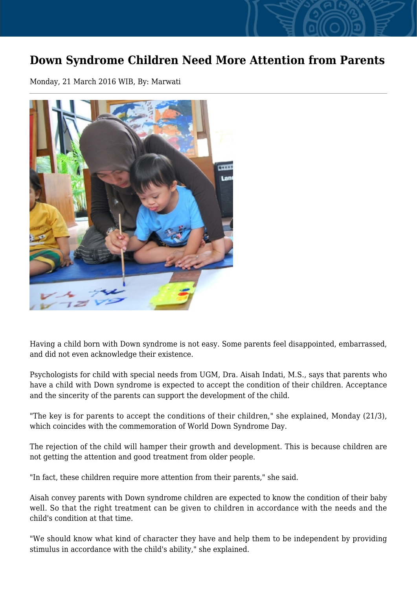## **Down Syndrome Children Need More Attention from Parents**

Monday, 21 March 2016 WIB, By: Marwati



Having a child born with Down syndrome is not easy. Some parents feel disappointed, embarrassed, and did not even acknowledge their existence.

Psychologists for child with special needs from UGM, Dra. Aisah Indati, M.S., says that parents who have a child with Down syndrome is expected to accept the condition of their children. Acceptance and the sincerity of the parents can support the development of the child.

"The key is for parents to accept the conditions of their children," she explained, Monday (21/3), which coincides with the commemoration of World Down Syndrome Day.

The rejection of the child will hamper their growth and development. This is because children are not getting the attention and good treatment from older people.

"In fact, these children require more attention from their parents," she said.

Aisah convey parents with Down syndrome children are expected to know the condition of their baby well. So that the right treatment can be given to children in accordance with the needs and the child's condition at that time.

"We should know what kind of character they have and help them to be independent by providing stimulus in accordance with the child's ability," she explained.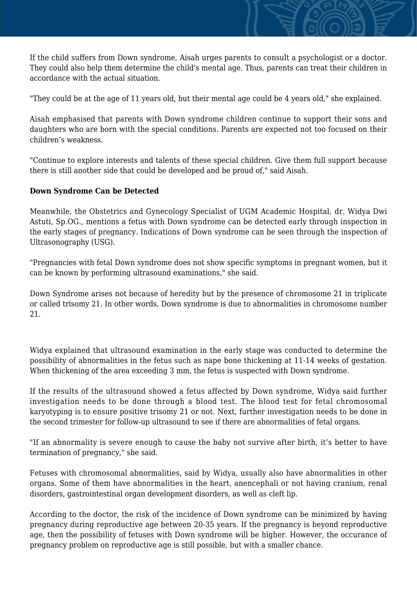If the child suffers from Down syndrome, Aisah urges parents to consult a psychologist or a doctor. They could also help them determine the child's mental age. Thus, parents can treat their children in accordance with the actual situation.

"They could be at the age of 11 years old, but their mental age could be 4 years old," she explained.

Aisah emphasised that parents with Down syndrome children continue to support their sons and daughters who are born with the special conditions. Parents are expected not too focused on their children's weakness.

"Continue to explore interests and talents of these special children. Give them full support because there is still another side that could be developed and be proud of," said Aisah.

## **Down Syndrome Can be Detected**

Meanwhile, the Obstetrics and Gynecology Specialist of UGM Academic Hospital, dr. Widya Dwi Astuti, Sp.OG., mentions a fetus with Down syndrome can be detected early through inspection in the early stages of pregnancy. Indications of Down syndrome can be seen through the inspection of Ultrasonography (USG).

"Pregnancies with fetal Down syndrome does not show specific symptoms in pregnant women, but it can be known by performing ultrasound examinations," she said.

Down Syndrome arises not because of heredity but by the presence of chromosome 21 in triplicate or called trisomy 21. In other words, Down syndrome is due to abnormalities in chromosome number 21.

Widya explained that ultrasound examination in the early stage was conducted to determine the possibility of abnormalities in the fetus such as nape bone thickening at 11-14 weeks of gestation. When thickening of the area exceeding 3 mm, the fetus is suspected with Down syndrome.

If the results of the ultrasound showed a fetus affected by Down syndrome, Widya said further investigation needs to be done through a blood test. The blood test for fetal chromosomal karyotyping is to ensure positive trisomy 21 or not. Next, further investigation needs to be done in the second trimester for follow-up ultrasound to see if there are abnormalities of fetal organs.

"If an abnormality is severe enough to cause the baby not survive after birth, it's better to have termination of pregnancy," she said.

Fetuses with chromosomal abnormalities, said by Widya, usually also have abnormalities in other organs. Some of them have abnormalities in the heart, anencephali or not having cranium, renal disorders, gastrointestinal organ development disorders, as well as cleft lip.

According to the doctor, the risk of the incidence of Down syndrome can be minimized by having pregnancy during reproductive age between 20-35 years. If the pregnancy is beyond reproductive age, then the possibility of fetuses with Down syndrome will be higher. However, the occurance of pregnancy problem on reproductive age is still possible, but with a smaller chance.